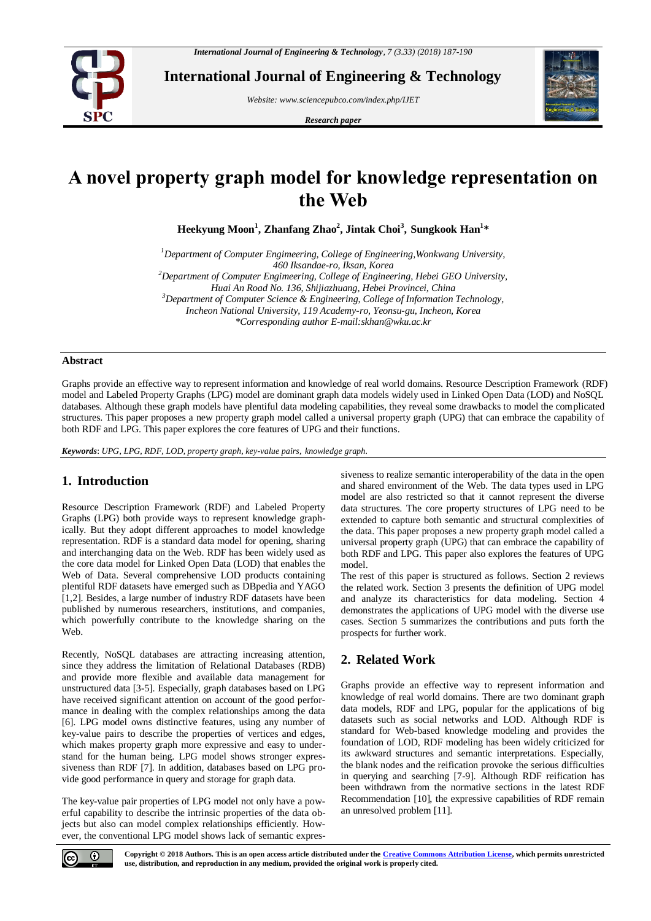

**International Journal of Engineering & Technology**

*Website: www.sciencepubco.com/index.php/IJET* 

*Research paper*



# **A novel property graph model for knowledge representation on the Web**

**Heekyung Moon<sup>1</sup> , Zhanfang Zhao<sup>2</sup> , Jintak Choi<sup>3</sup> , Sungkook Han<sup>1</sup> \***

*<sup>1</sup>Department of Computer Engimeering, College of Engineering,Wonkwang University, 460 Iksandae-ro, Iksan, Korea <sup>2</sup>Department of Computer Engimeering, College of Engineering, Hebei GEO University,* 

*Huai An Road No. 136, Shijiazhuang, Hebei Provincei, China*

*<sup>3</sup>Department of Computer Science & Engineering, College of Information Technology,*

*Incheon National University, 119 Academy-ro, Yeonsu-gu, Incheon, Korea*

*\*Corresponding author E-mail:skhan@wku.ac.kr*

### **Abstract**

Graphs provide an effective way to represent information and knowledge of real world domains. Resource Description Framework (RDF) model and Labeled Property Graphs (LPG) model are dominant graph data models widely used in Linked Open Data (LOD) and NoSQL databases. Although these graph models have plentiful data modeling capabilities, they reveal some drawbacks to model the complicated structures. This paper proposes a new property graph model called a universal property graph (UPG) that can embrace the capability of both RDF and LPG. This paper explores the core features of UPG and their functions.

*Keywords*: *UPG, LPG, RDF, LOD, property graph, key-value pairs, knowledge graph.*

# **1. Introduction**

Resource Description Framework (RDF) and Labeled Property Graphs (LPG) both provide ways to represent knowledge graphically. But they adopt different approaches to model knowledge representation. RDF is a standard data model for opening, sharing and interchanging data on the Web. RDF has been widely used as the core data model for Linked Open Data (LOD) that enables the Web of Data. Several comprehensive LOD products containing plentiful RDF datasets have emerged such as DBpedia and YAGO [1,2]. Besides, a large number of industry RDF datasets have been published by numerous researchers, institutions, and companies, which powerfully contribute to the knowledge sharing on the Web.

Recently, NoSQL databases are attracting increasing attention, since they address the limitation of Relational Databases (RDB) and provide more flexible and available data management for unstructured data [3-5]. Especially, graph databases based on LPG have received significant attention on account of the good performance in dealing with the complex relationships among the data [6]. LPG model owns distinctive features, using any number of key-value pairs to describe the properties of vertices and edges, which makes property graph more expressive and easy to understand for the human being. LPG model shows stronger expressiveness than RDF [7]. In addition, databases based on LPG provide good performance in query and storage for graph data.

The key-value pair properties of LPG model not only have a powerful capability to describe the intrinsic properties of the data objects but also can model complex relationships efficiently. However, the conventional LPG model shows lack of semantic expressiveness to realize semantic interoperability of the data in the open and shared environment of the Web. The data types used in LPG model are also restricted so that it cannot represent the diverse data structures. The core property structures of LPG need to be extended to capture both semantic and structural complexities of the data. This paper proposes a new property graph model called a universal property graph (UPG) that can embrace the capability of both RDF and LPG. This paper also explores the features of UPG model.

The rest of this paper is structured as follows. Section 2 reviews the related work. Section 3 presents the definition of UPG model and analyze its characteristics for data modeling. Section 4 demonstrates the applications of UPG model with the diverse use cases. Section 5 summarizes the contributions and puts forth the prospects for further work.

# **2. Related Work**

Graphs provide an effective way to represent information and knowledge of real world domains. There are two dominant graph data models, RDF and LPG, popular for the applications of big datasets such as social networks and LOD. Although RDF is standard for Web-based knowledge modeling and provides the foundation of LOD, RDF modeling has been widely criticized for its awkward structures and semantic interpretations. Especially, the blank nodes and the reification provoke the serious difficulties in querying and searching [7-9]. Although RDF reification has been withdrawn from the normative sections in the latest RDF Recommendation [10], the expressive capabilities of RDF remain an unresolved problem [11].



**Copyright © 2018 Authors. This is an open access article distributed under th[e Creative Commons Attribution License,](http://creativecommons.org/licenses/by/3.0/) which permits unrestricted use, distribution, and reproduction in any medium, provided the original work is properly cited.**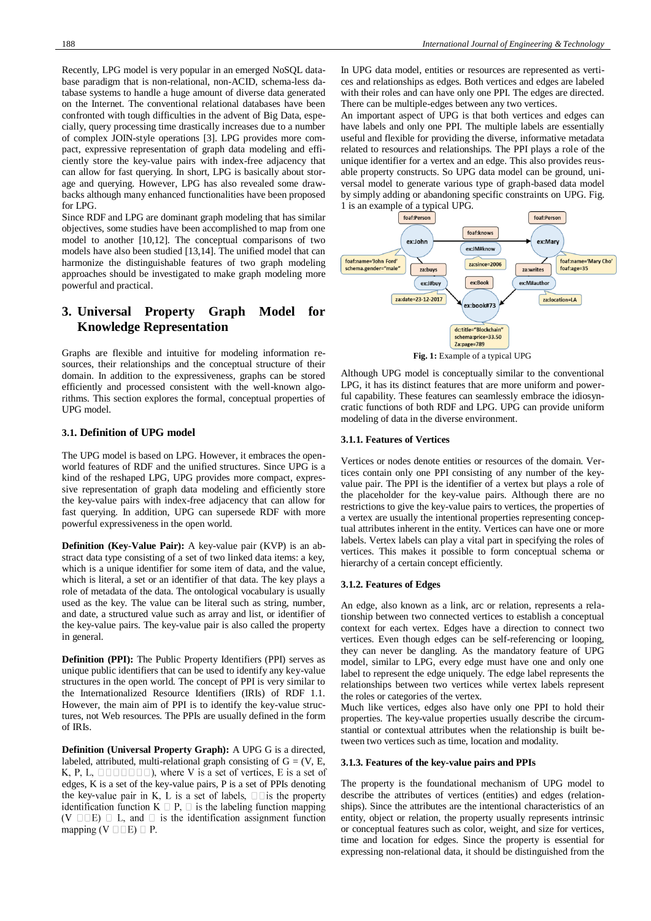Recently, LPG model is very popular in an emerged NoSQL database paradigm that is non-relational, non-ACID, schema-less database systems to handle a huge amount of diverse data generated on the Internet. The conventional relational databases have been confronted with tough difficulties in the advent of Big Data, especially, query processing time drastically increases due to a number of complex JOIN-style operations [3]. LPG provides more compact, expressive representation of graph data modeling and efficiently store the key-value pairs with index-free adjacency that can allow for fast querying. In short, LPG is basically about storage and querying. However, LPG has also revealed some drawbacks although many enhanced functionalities have been proposed for LPG.

Since RDF and LPG are dominant graph modeling that has similar objectives, some studies have been accomplished to map from one model to another [10,12]. The conceptual comparisons of two models have also been studied [13,14]. The unified model that can harmonize the distinguishable features of two graph modeling approaches should be investigated to make graph modeling more powerful and practical.

# **3. Universal Property Graph Model for Knowledge Representation**

Graphs are flexible and intuitive for modeling information resources, their relationships and the conceptual structure of their domain. In addition to the expressiveness, graphs can be stored efficiently and processed consistent with the well-known algorithms. This section explores the formal, conceptual properties of UPG model.

#### **3.1. Definition of UPG model**

The UPG model is based on LPG. However, it embraces the openworld features of RDF and the unified structures. Since UPG is a kind of the reshaped LPG, UPG provides more compact, expressive representation of graph data modeling and efficiently store the key-value pairs with index-free adjacency that can allow for fast querying. In addition, UPG can supersede RDF with more powerful expressiveness in the open world.

**Definition (Key-Value Pair):** A key-value pair (KVP) is an abstract data type consisting of a set of two linked data items: a key, which is a unique identifier for some item of data, and the value, which is literal, a set or an identifier of that data. The key plays a role of metadata of the data. The ontological vocabulary is usually used as the key. The value can be literal such as string, number, and date, a structured value such as array and list, or identifier of the key-value pairs. The key-value pair is also called the property in general.

**Definition (PPI):** The Public Property Identifiers (PPI) serves as unique public identifiers that can be used to identify any key-value structures in the open world. The concept of PPI is very similar to the Internationalized Resource Identifiers (IRIs) of RDF 1.1. However, the main aim of PPI is to identify the key-value structures, not Web resources. The PPIs are usually defined in the form of IRIs.

**Definition (Universal Property Graph):** A UPG G is a directed, labeled, attributed, multi-relational graph consisting of  $G = (V, E, \mathcal{L})$ K, P, L,  $\square \square \square \square \square \square$ , where V is a set of vertices, E is a set of edges, K is a set of the key-value pairs, P is a set of PPIs denoting the key-value pair in K, L is a set of labels,  $\square$  is the property identification function  $K \square P$ ,  $\square$  is the labeling function mapping (V  $\square \square E$ )  $\square$  L, and  $\square$  is the identification assignment function mapping ( $V \square \square E$ )  $\square P$ .

In UPG data model, entities or resources are represented as vertices and relationships as edges. Both vertices and edges are labeled with their roles and can have only one PPI. The edges are directed. There can be multiple-edges between any two vertices.

An important aspect of UPG is that both vertices and edges can have labels and only one PPI. The multiple labels are essentially useful and flexible for providing the diverse, informative metadata related to resources and relationships. The PPI plays a role of the unique identifier for a vertex and an edge. This also provides reusable property constructs. So UPG data model can be ground, universal model to generate various type of graph-based data model by simply adding or abandoning specific constraints on UPG. Fig. 1 is an example of a typical UPG.



Although UPG model is conceptually similar to the conventional LPG, it has its distinct features that are more uniform and powerful capability. These features can seamlessly embrace the idiosyncratic functions of both RDF and LPG. UPG can provide uniform modeling of data in the diverse environment.

#### **3.1.1. Features of Vertices**

Vertices or nodes denote entities or resources of the domain. Vertices contain only one PPI consisting of any number of the keyvalue pair. The PPI is the identifier of a vertex but plays a role of the placeholder for the key-value pairs. Although there are no restrictions to give the key-value pairs to vertices, the properties of a vertex are usually the intentional properties representing conceptual attributes inherent in the entity. Vertices can have one or more labels. Vertex labels can play a vital part in specifying the roles of vertices. This makes it possible to form conceptual schema or hierarchy of a certain concept efficiently.

#### **3.1.2. Features of Edges**

An edge, also known as a link, arc or relation, represents a relationship between two connected vertices to establish a conceptual context for each vertex. Edges have a direction to connect two vertices. Even though edges can be self-referencing or looping, they can never be dangling. As the mandatory feature of UPG model, similar to LPG, every edge must have one and only one label to represent the edge uniquely. The edge label represents the relationships between two vertices while vertex labels represent the roles or categories of the vertex.

Much like vertices, edges also have only one PPI to hold their properties. The key-value properties usually describe the circumstantial or contextual attributes when the relationship is built between two vertices such as time, location and modality.

#### **3.1.3. Features of the key-value pairs and PPIs**

The property is the foundational mechanism of UPG model to describe the attributes of vertices (entities) and edges (relationships). Since the attributes are the intentional characteristics of an entity, object or relation, the property usually represents intrinsic or conceptual features such as color, weight, and size for vertices, time and location for edges. Since the property is essential for expressing non-relational data, it should be distinguished from the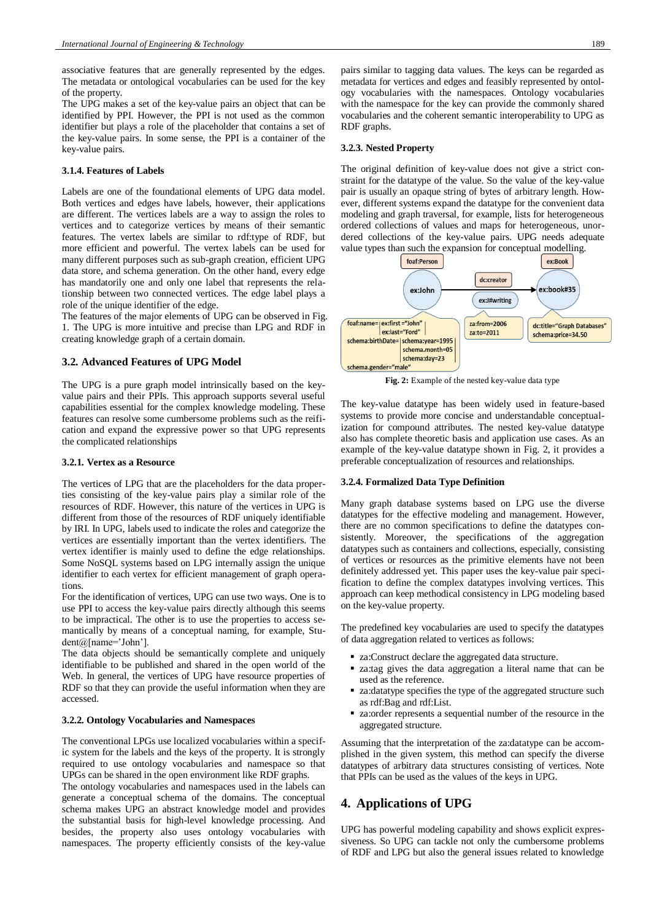associative features that are generally represented by the edges. The metadata or ontological vocabularies can be used for the key of the property.

The UPG makes a set of the key-value pairs an object that can be identified by PPI. However, the PPI is not used as the common identifier but plays a role of the placeholder that contains a set of the key-value pairs. In some sense, the PPI is a container of the key-value pairs.

#### **3.1.4. Features of Labels**

Labels are one of the foundational elements of UPG data model. Both vertices and edges have labels, however, their applications are different. The vertices labels are a way to assign the roles to vertices and to categorize vertices by means of their semantic features. The vertex labels are similar to rdf:type of RDF, but more efficient and powerful. The vertex labels can be used for many different purposes such as sub-graph creation, efficient UPG data store, and schema generation. On the other hand, every edge has mandatorily one and only one label that represents the relationship between two connected vertices. The edge label plays a role of the unique identifier of the edge.

The features of the major elements of UPG can be observed in Fig. 1. The UPG is more intuitive and precise than LPG and RDF in creating knowledge graph of a certain domain.

#### **3.2. Advanced Features of UPG Model**

The UPG is a pure graph model intrinsically based on the keyvalue pairs and their PPIs. This approach supports several useful capabilities essential for the complex knowledge modeling. These features can resolve some cumbersome problems such as the reification and expand the expressive power so that UPG represents the complicated relationships

#### **3.2.1. Vertex as a Resource**

The vertices of LPG that are the placeholders for the data properties consisting of the key-value pairs play a similar role of the resources of RDF. However, this nature of the vertices in UPG is different from those of the resources of RDF uniquely identifiable by IRI. In UPG, labels used to indicate the roles and categorize the vertices are essentially important than the vertex identifiers. The vertex identifier is mainly used to define the edge relationships. Some NoSQL systems based on LPG internally assign the unique identifier to each vertex for efficient management of graph operations.

For the identification of vertices, UPG can use two ways. One is to use PPI to access the key-value pairs directly although this seems to be impractical. The other is to use the properties to access semantically by means of a conceptual naming, for example, Student@[name='John'].

The data objects should be semantically complete and uniquely identifiable to be published and shared in the open world of the Web. In general, the vertices of UPG have resource properties of RDF so that they can provide the useful information when they are accessed.

#### **3.2.2. Ontology Vocabularies and Namespaces**

The conventional LPGs use localized vocabularies within a specific system for the labels and the keys of the property. It is strongly required to use ontology vocabularies and namespace so that UPGs can be shared in the open environment like RDF graphs.

The ontology vocabularies and namespaces used in the labels can generate a conceptual schema of the domains. The conceptual schema makes UPG an abstract knowledge model and provides the substantial basis for high-level knowledge processing. And besides, the property also uses ontology vocabularies with namespaces. The property efficiently consists of the key-value

pairs similar to tagging data values. The keys can be regarded as metadata for vertices and edges and feasibly represented by ontology vocabularies with the namespaces. Ontology vocabularies with the namespace for the key can provide the commonly shared vocabularies and the coherent semantic interoperability to UPG as RDF graphs.

#### **3.2.3. Nested Property**

The original definition of key-value does not give a strict constraint for the datatype of the value. So the value of the key-value pair is usually an opaque string of bytes of arbitrary length. However, different systems expand the datatype for the convenient data modeling and graph traversal, for example, lists for heterogeneous ordered collections of values and maps for heterogeneous, unordered collections of the key-value pairs. UPG needs adequate value types than such the expansion for conceptual modelling.



**Fig. 2:** Example of the nested key-value data type

The key-value datatype has been widely used in feature-based systems to provide more concise and understandable conceptualization for compound attributes. The nested key-value datatype also has complete theoretic basis and application use cases. As an example of the key-value datatype shown in Fig. 2, it provides a preferable conceptualization of resources and relationships.

#### **3.2.4. Formalized Data Type Definition**

Many graph database systems based on LPG use the diverse datatypes for the effective modeling and management. However, there are no common specifications to define the datatypes consistently. Moreover, the specifications of the aggregation datatypes such as containers and collections, especially, consisting of vertices or resources as the primitive elements have not been definitely addressed yet. This paper uses the key-value pair specification to define the complex datatypes involving vertices. This approach can keep methodical consistency in LPG modeling based on the key-value property.

The predefined key vocabularies are used to specify the datatypes of data aggregation related to vertices as follows:

- za:Construct declare the aggregated data structure.
- za:tag gives the data aggregation a literal name that can be used as the reference.
- za:datatype specifies the type of the aggregated structure such as rdf:Bag and rdf:List.
- za:order represents a sequential number of the resource in the aggregated structure.

Assuming that the interpretation of the za:datatype can be accomplished in the given system, this method can specify the diverse datatypes of arbitrary data structures consisting of vertices. Note that PPIs can be used as the values of the keys in UPG.

# **4. Applications of UPG**

UPG has powerful modeling capability and shows explicit expressiveness. So UPG can tackle not only the cumbersome problems of RDF and LPG but also the general issues related to knowledge